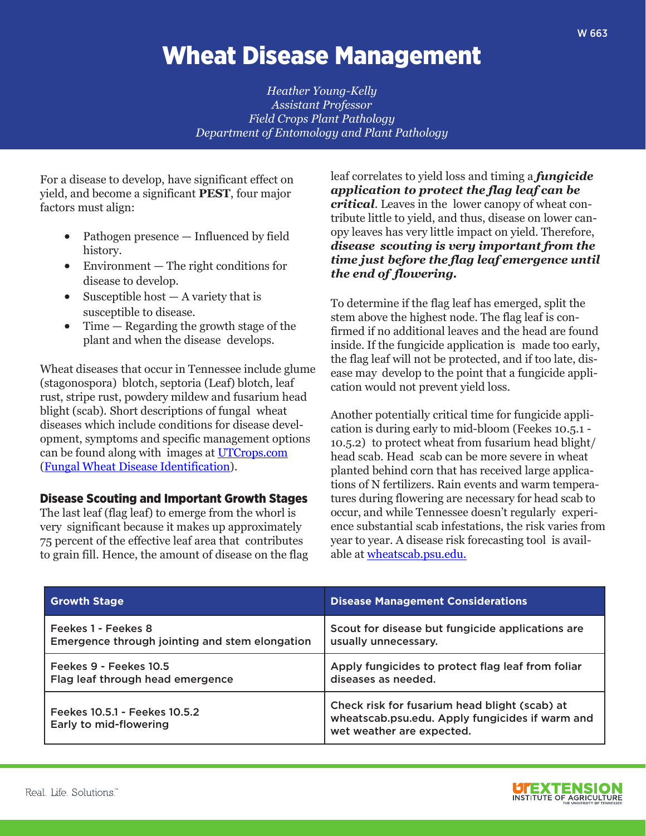# Wheat Disease Management

*Heather Young-Kelly Assistant Professor Field Crops Plant Pathology Department of Entomology and Plant Pathology*

For a disease to develop, have significant effect on yield, and become a significant **PEST**, four major factors must align:

- Pathogen presence Influenced by field history.
- Environment The right conditions for disease to develop.
- Susceptible host  $-$  A variety that is susceptible to disease.
- Time Regarding the growth stage of the plant and when the disease develops.

Wheat diseases that occur in Tennessee include glume (stagonospora) blotch, septoria (Leaf) blotch, leaf rust, stripe rust, powdery mildew and fusarium head blight (scab). Short descriptions of fungal wheat diseases which include conditions for disease development, symptoms and specific management options can be found along with images at UTCrops.com (Fungal Wheat Disease Identification).

## Disease Scouting and Important Growth Stages

The last leaf (flag leaf) to emerge from the whorl is very significant because it makes up approximately 75 percent of the effective leaf area that contributes to grain fill. Hence, the amount of disease on the flag leaf correlates to yield loss and timing a *fungicide application to protect the flag leaf can be critical*. Leaves in the lower canopy of wheat contribute little to yield, and thus, disease on lower canopy leaves has very little impact on yield. Therefore, *disease scouting is very important from the time just before the flag leaf emergence until the end of flowering.*

To determine if the flag leaf has emerged, split the stem above the highest node. The flag leaf is confirmed if no additional leaves and the head are found inside. If the fungicide application is made too early, the flag leaf will not be protected, and if too late, disease may develop to the point that a fungicide application would not prevent yield loss.

Another potentially critical time for fungicide application is during early to mid-bloom (Feekes 10.5.1 - 10.5.2) to protect wheat from fusarium head blight/ head scab. Head scab can be more severe in wheat planted behind corn that has received large applications of N fertilizers. Rain events and warm temperatures during flowering are necessary for head scab to occur, and while Tennessee doesn't regularly experience substantial scab infestations, the risk varies from year to year. A disease risk forecasting tool is available at wheatscab.psu.edu.

| <b>Growth Stage</b>                                     | <b>Disease Management Considerations</b>                                                                                      |
|---------------------------------------------------------|-------------------------------------------------------------------------------------------------------------------------------|
| Feekes 1 - Feekes 8                                     | Scout for disease but fungicide applications are                                                                              |
| Emergence through jointing and stem elongation          | usually unnecessary.                                                                                                          |
| Feekes 9 - Feekes 10.5                                  | Apply fungicides to protect flag leaf from foliar                                                                             |
| Flag leaf through head emergence                        | diseases as needed.                                                                                                           |
| Feekes 10.5.1 - Feekes 10.5.2<br>Early to mid-flowering | Check risk for fusarium head blight (scab) at<br>wheatscab.psu.edu. Apply fungicides if warm and<br>wet weather are expected. |